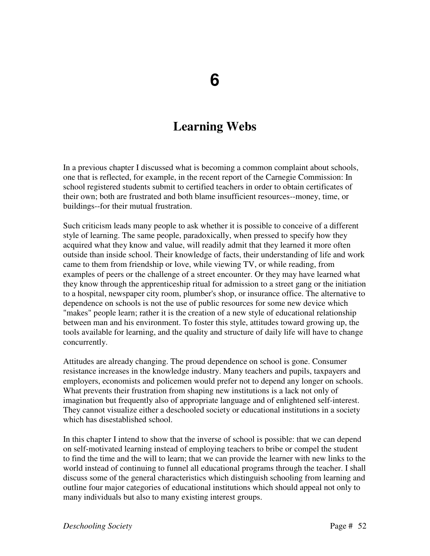# **Learning Webs**

In a previous chapter I discussed what is becoming a common complaint about schools, one that is reflected, for example, in the recent report of the Carnegie Commission: In school registered students submit to certified teachers in order to obtain certificates of their own; both are frustrated and both blame insufficient resources--money, time, or buildings--for their mutual frustration.

Such criticism leads many people to ask whether it is possible to conceive of a different style of learning. The same people, paradoxically, when pressed to specify how they acquired what they know and value, will readily admit that they learned it more often outside than inside school. Their knowledge of facts, their understanding of life and work came to them from friendship or love, while viewing TV, or while reading, from examples of peers or the challenge of a street encounter. Or they may have learned what they know through the apprenticeship ritual for admission to a street gang or the initiation to a hospital, newspaper city room, plumber's shop, or insurance office. The alternative to dependence on schools is not the use of public resources for some new device which "makes" people learn; rather it is the creation of a new style of educational relationship between man and his environment. To foster this style, attitudes toward growing up, the tools available for learning, and the quality and structure of daily life will have to change concurrently.

Attitudes are already changing. The proud dependence on school is gone. Consumer resistance increases in the knowledge industry. Many teachers and pupils, taxpayers and employers, economists and policemen would prefer not to depend any longer on schools. What prevents their frustration from shaping new institutions is a lack not only of imagination but frequently also of appropriate language and of enlightened self-interest. They cannot visualize either a deschooled society or educational institutions in a society which has disestablished school.

In this chapter I intend to show that the inverse of school is possible: that we can depend on self-motivated learning instead of employing teachers to bribe or compel the student to find the time and the will to learn; that we can provide the learner with new links to the world instead of continuing to funnel all educational programs through the teacher. I shall discuss some of the general characteristics which distinguish schooling from learning and outline four major categories of educational institutions which should appeal not only to many individuals but also to many existing interest groups.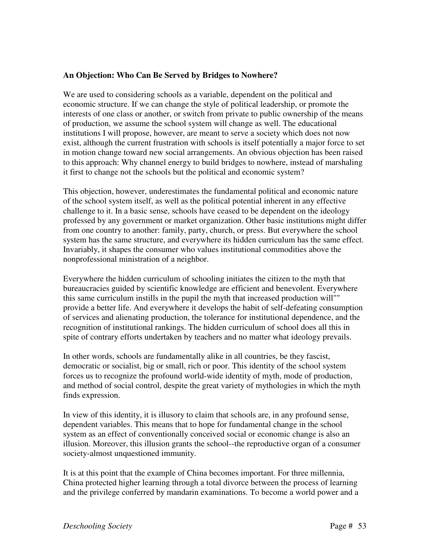#### **An Objection: Who Can Be Served by Bridges to Nowhere?**

We are used to considering schools as a variable, dependent on the political and economic structure. If we can change the style of political leadership, or promote the interests of one class or another, or switch from private to public ownership of the means of production, we assume the school system will change as well. The educational institutions I will propose, however, are meant to serve a society which does not now exist, although the current frustration with schools is itself potentially a major force to set in motion change toward new social arrangements. An obvious objection has been raised to this approach: Why channel energy to build bridges to nowhere, instead of marshaling it first to change not the schools but the political and economic system?

This objection, however, underestimates the fundamental political and economic nature of the school system itself, as well as the political potential inherent in any effective challenge to it. In a basic sense, schools have ceased to be dependent on the ideology professed by any government or market organization. Other basic institutions might differ from one country to another: family, party, church, or press. But everywhere the school system has the same structure, and everywhere its hidden curriculum has the same effect. Invariably, it shapes the consumer who values institutional commodities above the nonprofessional ministration of a neighbor.

Everywhere the hidden curriculum of schooling initiates the citizen to the myth that bureaucracies guided by scientific knowledge are efficient and benevolent. Everywhere this same curriculum instills in the pupil the myth that increased production will"" provide a better life. And everywhere it develops the habit of self-defeating consumption of services and alienating production, the tolerance for institutional dependence, and the recognition of institutional rankings. The hidden curriculum of school does all this in spite of contrary efforts undertaken by teachers and no matter what ideology prevails.

In other words, schools are fundamentally alike in all countries, be they fascist, democratic or socialist, big or small, rich or poor. This identity of the school system forces us to recognize the profound world-wide identity of myth, mode of production, and method of social control, despite the great variety of mythologies in which the myth finds expression.

In view of this identity, it is illusory to claim that schools are, in any profound sense, dependent variables. This means that to hope for fundamental change in the school system as an effect of conventionally conceived social or economic change is also an illusion. Moreover, this illusion grants the school--the reproductive organ of a consumer society-almost unquestioned immunity.

It is at this point that the example of China becomes important. For three millennia, China protected higher learning through a total divorce between the process of learning and the privilege conferred by mandarin examinations. To become a world power and a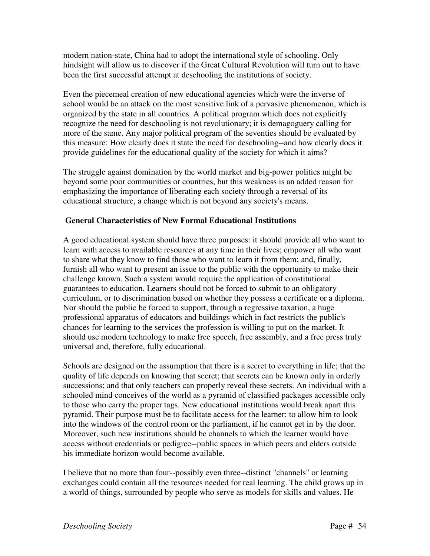modern nation-state, China had to adopt the international style of schooling. Only hindsight will allow us to discover if the Great Cultural Revolution will turn out to have been the first successful attempt at deschooling the institutions of society.

Even the piecemeal creation of new educational agencies which were the inverse of school would be an attack on the most sensitive link of a pervasive phenomenon, which is organized by the state in all countries. A political program which does not explicitly recognize the need for deschooling is not revolutionary; it is demagoguery calling for more of the same. Any major political program of the seventies should be evaluated by this measure: How clearly does it state the need for deschooling--and how clearly does it provide guidelines for the educational quality of the society for which it aims?

The struggle against domination by the world market and big-power politics might be beyond some poor communities or countries, but this weakness is an added reason for emphasizing the importance of liberating each society through a reversal of its educational structure, a change which is not beyond any society's means.

# **General Characteristics of New Formal Educational Institutions**

A good educational system should have three purposes: it should provide all who want to learn with access to available resources at any time in their lives; empower all who want to share what they know to find those who want to learn it from them; and, finally, furnish all who want to present an issue to the public with the opportunity to make their challenge known. Such a system would require the application of constitutional guarantees to education. Learners should not be forced to submit to an obligatory curriculum, or to discrimination based on whether they possess a certificate or a diploma. Nor should the public be forced to support, through a regressive taxation, a huge professional apparatus of educators and buildings which in fact restricts the public's chances for learning to the services the profession is willing to put on the market. It should use modern technology to make free speech, free assembly, and a free press truly universal and, therefore, fully educational.

Schools are designed on the assumption that there is a secret to everything in life; that the quality of life depends on knowing that secret; that secrets can be known only in orderly successions; and that only teachers can properly reveal these secrets. An individual with a schooled mind conceives of the world as a pyramid of classified packages accessible only to those who carry the proper tags. New educational institutions would break apart this pyramid. Their purpose must be to facilitate access for the learner: to allow him to look into the windows of the control room or the parliament, if he cannot get in by the door. Moreover, such new institutions should be channels to which the learner would have access without credentials or pedigree--public spaces in which peers and elders outside his immediate horizon would become available.

I believe that no more than four--possibly even three--distinct "channels" or learning exchanges could contain all the resources needed for real learning. The child grows up in a world of things, surrounded by people who serve as models for skills and values. He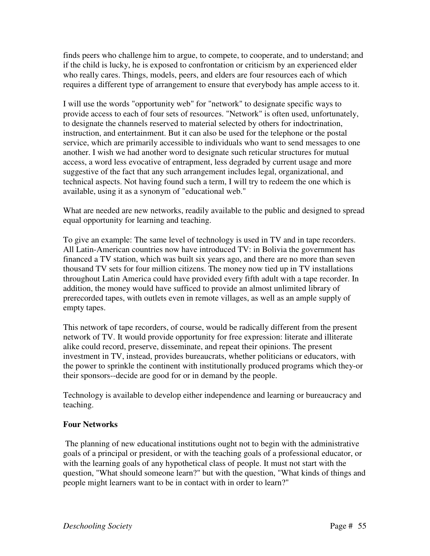finds peers who challenge him to argue, to compete, to cooperate, and to understand; and if the child is lucky, he is exposed to confrontation or criticism by an experienced elder who really cares. Things, models, peers, and elders are four resources each of which requires a different type of arrangement to ensure that everybody has ample access to it.

I will use the words "opportunity web" for "network" to designate specific ways to provide access to each of four sets of resources. "Network" is often used, unfortunately, to designate the channels reserved to material selected by others for indoctrination, instruction, and entertainment. But it can also be used for the telephone or the postal service, which are primarily accessible to individuals who want to send messages to one another. I wish we had another word to designate such reticular structures for mutual access, a word less evocative of entrapment, less degraded by current usage and more suggestive of the fact that any such arrangement includes legal, organizational, and technical aspects. Not having found such a term, I will try to redeem the one which is available, using it as a synonym of "educational web."

What are needed are new networks, readily available to the public and designed to spread equal opportunity for learning and teaching.

To give an example: The same level of technology is used in TV and in tape recorders. All Latin-American countries now have introduced TV: in Bolivia the government has financed a TV station, which was built six years ago, and there are no more than seven thousand TV sets for four million citizens. The money now tied up in TV installations throughout Latin America could have provided every fifth adult with a tape recorder. In addition, the money would have sufficed to provide an almost unlimited library of prerecorded tapes, with outlets even in remote villages, as well as an ample supply of empty tapes.

This network of tape recorders, of course, would be radically different from the present network of TV. It would provide opportunity for free expression: literate and illiterate alike could record, preserve, disseminate, and repeat their opinions. The present investment in TV, instead, provides bureaucrats, whether politicians or educators, with the power to sprinkle the continent with institutionally produced programs which they-or their sponsors--decide are good for or in demand by the people.

Technology is available to develop either independence and learning or bureaucracy and teaching.

## **Four Networks**

 The planning of new educational institutions ought not to begin with the administrative goals of a principal or president, or with the teaching goals of a professional educator, or with the learning goals of any hypothetical class of people. It must not start with the question, "What should someone learn?" but with the question, "What kinds of things and people might learners want to be in contact with in order to learn?"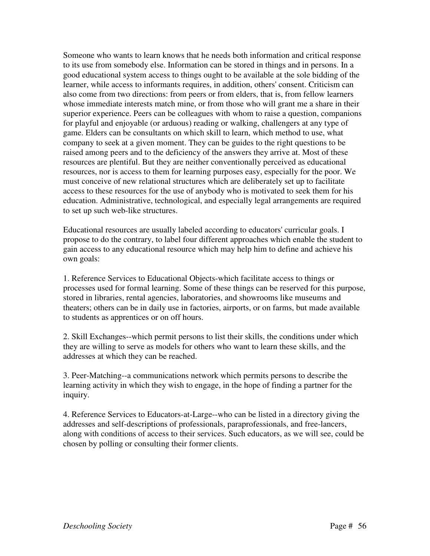Someone who wants to learn knows that he needs both information and critical response to its use from somebody else. Information can be stored in things and in persons. In a good educational system access to things ought to be available at the sole bidding of the learner, while access to informants requires, in addition, others' consent. Criticism can also come from two directions: from peers or from elders, that is, from fellow learners whose immediate interests match mine, or from those who will grant me a share in their superior experience. Peers can be colleagues with whom to raise a question, companions for playful and enjoyable (or arduous) reading or walking, challengers at any type of game. Elders can be consultants on which skill to learn, which method to use, what company to seek at a given moment. They can be guides to the right questions to be raised among peers and to the deficiency of the answers they arrive at. Most of these resources are plentiful. But they are neither conventionally perceived as educational resources, nor is access to them for learning purposes easy, especially for the poor. We must conceive of new relational structures which are deliberately set up to facilitate access to these resources for the use of anybody who is motivated to seek them for his education. Administrative, technological, and especially legal arrangements are required to set up such web-like structures.

Educational resources are usually labeled according to educators' curricular goals. I propose to do the contrary, to label four different approaches which enable the student to gain access to any educational resource which may help him to define and achieve his own goals:

1. Reference Services to Educational Objects-which facilitate access to things or processes used for formal learning. Some of these things can be reserved for this purpose, stored in libraries, rental agencies, laboratories, and showrooms like museums and theaters; others can be in daily use in factories, airports, or on farms, but made available to students as apprentices or on off hours.

2. Skill Exchanges--which permit persons to list their skills, the conditions under which they are willing to serve as models for others who want to learn these skills, and the addresses at which they can be reached.

3. Peer-Matching--a communications network which permits persons to describe the learning activity in which they wish to engage, in the hope of finding a partner for the inquiry.

4. Reference Services to Educators-at-Large--who can be listed in a directory giving the addresses and self-descriptions of professionals, paraprofessionals, and free-lancers, along with conditions of access to their services. Such educators, as we will see, could be chosen by polling or consulting their former clients.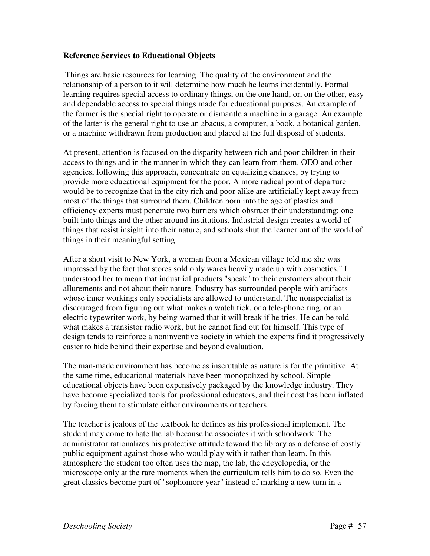#### **Reference Services to Educational Objects**

 Things are basic resources for learning. The quality of the environment and the relationship of a person to it will determine how much he learns incidentally. Formal learning requires special access to ordinary things, on the one hand, or, on the other, easy and dependable access to special things made for educational purposes. An example of the former is the special right to operate or dismantle a machine in a garage. An example of the latter is the general right to use an abacus, a computer, a book, a botanical garden, or a machine withdrawn from production and placed at the full disposal of students.

At present, attention is focused on the disparity between rich and poor children in their access to things and in the manner in which they can learn from them. OEO and other agencies, following this approach, concentrate on equalizing chances, by trying to provide more educational equipment for the poor. A more radical point of departure would be to recognize that in the city rich and poor alike are artificially kept away from most of the things that surround them. Children born into the age of plastics and efficiency experts must penetrate two barriers which obstruct their understanding: one built into things and the other around institutions. Industrial design creates a world of things that resist insight into their nature, and schools shut the learner out of the world of things in their meaningful setting.

After a short visit to New York, a woman from a Mexican village told me she was impressed by the fact that stores sold only wares heavily made up with cosmetics." I understood her to mean that industrial products "speak" to their customers about their allurements and not about their nature. Industry has surrounded people with artifacts whose inner workings only specialists are allowed to understand. The nonspecialist is discouraged from figuring out what makes a watch tick, or a tele-phone ring, or an electric typewriter work, by being warned that it will break if he tries. He can be told what makes a transistor radio work, but he cannot find out for himself. This type of design tends to reinforce a noninventive society in which the experts find it progressively easier to hide behind their expertise and beyond evaluation.

The man-made environment has become as inscrutable as nature is for the primitive. At the same time, educational materials have been monopolized by school. Simple educational objects have been expensively packaged by the knowledge industry. They have become specialized tools for professional educators, and their cost has been inflated by forcing them to stimulate either environments or teachers.

The teacher is jealous of the textbook he defines as his professional implement. The student may come to hate the lab because he associates it with schoolwork. The administrator rationalizes his protective attitude toward the library as a defense of costly public equipment against those who would play with it rather than learn. In this atmosphere the student too often uses the map, the lab, the encyclopedia, or the microscope only at the rare moments when the curriculum tells him to do so. Even the great classics become part of "sophomore year" instead of marking a new turn in a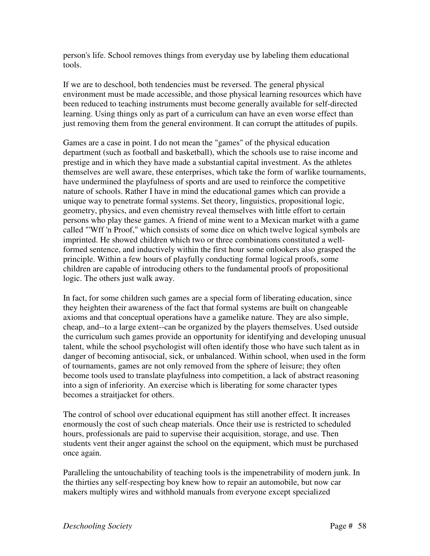person's life. School removes things from everyday use by labeling them educational tools.

If we are to deschool, both tendencies must be reversed. The general physical environment must be made accessible, and those physical learning resources which have been reduced to teaching instruments must become generally available for self-directed learning. Using things only as part of a curriculum can have an even worse effect than just removing them from the general environment. It can corrupt the attitudes of pupils.

Games are a case in point. I do not mean the "games" of the physical education department (such as football and basketball), which the schools use to raise income and prestige and in which they have made a substantial capital investment. As the athletes themselves are well aware, these enterprises, which take the form of warlike tournaments, have undermined the playfulness of sports and are used to reinforce the competitive nature of schools. Rather I have in mind the educational games which can provide a unique way to penetrate formal systems. Set theory, linguistics, propositional logic, geometry, physics, and even chemistry reveal themselves with little effort to certain persons who play these games. A friend of mine went to a Mexican market with a game called "'Wff 'n Proof," which consists of some dice on which twelve logical symbols are imprinted. He showed children which two or three combinations constituted a wellformed sentence, and inductively within the first hour some onlookers also grasped the principle. Within a few hours of playfully conducting formal logical proofs, some children are capable of introducing others to the fundamental proofs of propositional logic. The others just walk away.

In fact, for some children such games are a special form of liberating education, since they heighten their awareness of the fact that formal systems are built on changeable axioms and that conceptual operations have a gamelike nature. They are also simple, cheap, and--to a large extent--can be organized by the players themselves. Used outside the curriculum such games provide an opportunity for identifying and developing unusual talent, while the school psychologist will often identify those who have such talent as in danger of becoming antisocial, sick, or unbalanced. Within school, when used in the form of tournaments, games are not only removed from the sphere of leisure; they often become tools used to translate playfulness into competition, a lack of abstract reasoning into a sign of inferiority. An exercise which is liberating for some character types becomes a straitjacket for others.

The control of school over educational equipment has still another effect. It increases enormously the cost of such cheap materials. Once their use is restricted to scheduled hours, professionals are paid to supervise their acquisition, storage, and use. Then students vent their anger against the school on the equipment, which must be purchased once again.

Paralleling the untouchability of teaching tools is the impenetrability of modern junk. In the thirties any self-respecting boy knew how to repair an automobile, but now car makers multiply wires and withhold manuals from everyone except specialized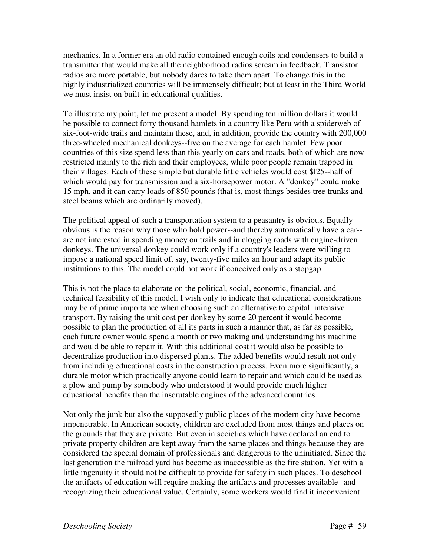mechanics. In a former era an old radio contained enough coils and condensers to build a transmitter that would make all the neighborhood radios scream in feedback. Transistor radios are more portable, but nobody dares to take them apart. To change this in the highly industrialized countries will be immensely difficult; but at least in the Third World we must insist on built-in educational qualities.

To illustrate my point, let me present a model: By spending ten million dollars it would be possible to connect forty thousand hamlets in a country like Peru with a spiderweb of six-foot-wide trails and maintain these, and, in addition, provide the country with 200,000 three-wheeled mechanical donkeys--five on the average for each hamlet. Few poor countries of this size spend less than this yearly on cars and roads, both of which are now restricted mainly to the rich and their employees, while poor people remain trapped in their villages. Each of these simple but durable little vehicles would cost \$l25--half of which would pay for transmission and a six-horsepower motor. A "donkey" could make 15 mph, and it can carry loads of 850 pounds (that is, most things besides tree trunks and steel beams which are ordinarily moved).

The political appeal of such a transportation system to a peasantry is obvious. Equally obvious is the reason why those who hold power--and thereby automatically have a car- are not interested in spending money on trails and in clogging roads with engine-driven donkeys. The universal donkey could work only if a country's leaders were willing to impose a national speed limit of, say, twenty-five miles an hour and adapt its public institutions to this. The model could not work if conceived only as a stopgap.

This is not the place to elaborate on the political, social, economic, financial, and technical feasibility of this model. I wish only to indicate that educational considerations may be of prime importance when choosing such an alternative to capital. intensive transport. By raising the unit cost per donkey by some 20 percent it would become possible to plan the production of all its parts in such a manner that, as far as possible, each future owner would spend a month or two making and understanding his machine and would be able to repair it. With this additional cost it would also be possible to decentralize production into dispersed plants. The added benefits would result not only from including educational costs in the construction process. Even more significantly, a durable motor which practically anyone could learn to repair and which could be used as a plow and pump by somebody who understood it would provide much higher educational benefits than the inscrutable engines of the advanced countries.

Not only the junk but also the supposedly public places of the modern city have become impenetrable. In American society, children are excluded from most things and places on the grounds that they are private. But even in societies which have declared an end to private property children are kept away from the same places and things because they are considered the special domain of professionals and dangerous to the uninitiated. Since the last generation the railroad yard has become as inaccessible as the fire station. Yet with a little ingenuity it should not be difficult to provide for safety in such places. To deschool the artifacts of education will require making the artifacts and processes available--and recognizing their educational value. Certainly, some workers would find it inconvenient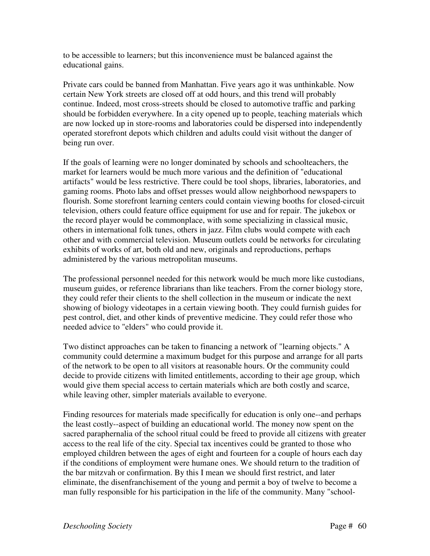to be accessible to learners; but this inconvenience must be balanced against the educational gains.

Private cars could be banned from Manhattan. Five years ago it was unthinkable. Now certain New York streets are closed off at odd hours, and this trend will probably continue. Indeed, most cross-streets should be closed to automotive traffic and parking should be forbidden everywhere. In a city opened up to people, teaching materials which are now locked up in store-rooms and laboratories could be dispersed into independently operated storefront depots which children and adults could visit without the danger of being run over.

If the goals of learning were no longer dominated by schools and schoolteachers, the market for learners would be much more various and the definition of "educational artifacts" would be less restrictive. There could be tool shops, libraries, laboratories, and gaming rooms. Photo labs and offset presses would allow neighborhood newspapers to flourish. Some storefront learning centers could contain viewing booths for closed-circuit television, others could feature office equipment for use and for repair. The jukebox or the record player would be commonplace, with some specializing in classical music, others in international folk tunes, others in jazz. Film clubs would compete with each other and with commercial television. Museum outlets could be networks for circulating exhibits of works of art, both old and new, originals and reproductions, perhaps administered by the various metropolitan museums.

The professional personnel needed for this network would be much more like custodians, museum guides, or reference librarians than like teachers. From the corner biology store, they could refer their clients to the shell collection in the museum or indicate the next showing of biology videotapes in a certain viewing booth. They could furnish guides for pest control, diet, and other kinds of preventive medicine. They could refer those who needed advice to "elders" who could provide it.

Two distinct approaches can be taken to financing a network of "learning objects." A community could determine a maximum budget for this purpose and arrange for all parts of the network to be open to all visitors at reasonable hours. Or the community could decide to provide citizens with limited entitlements, according to their age group, which would give them special access to certain materials which are both costly and scarce, while leaving other, simpler materials available to everyone.

Finding resources for materials made specifically for education is only one--and perhaps the least costly--aspect of building an educational world. The money now spent on the sacred paraphernalia of the school ritual could be freed to provide all citizens with greater access to the real life of the city. Special tax incentives could be granted to those who employed children between the ages of eight and fourteen for a couple of hours each day if the conditions of employment were humane ones. We should return to the tradition of the bar mitzvah or confirmation. By this I mean we should first restrict, and later eliminate, the disenfranchisement of the young and permit a boy of twelve to become a man fully responsible for his participation in the life of the community. Many "school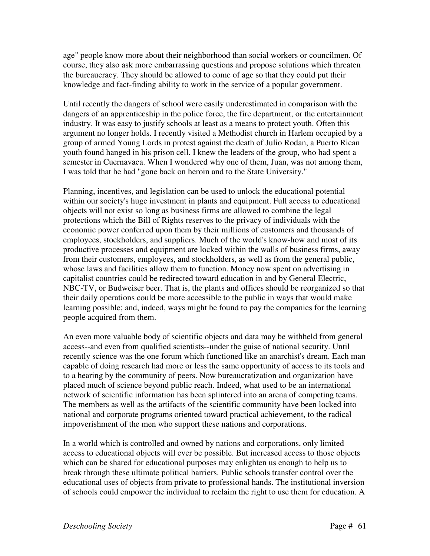age" people know more about their neighborhood than social workers or councilmen. Of course, they also ask more embarrassing questions and propose solutions which threaten the bureaucracy. They should be allowed to come of age so that they could put their knowledge and fact-finding ability to work in the service of a popular government.

Until recently the dangers of school were easily underestimated in comparison with the dangers of an apprenticeship in the police force, the fire department, or the entertainment industry. It was easy to justify schools at least as a means to protect youth. Often this argument no longer holds. I recently visited a Methodist church in Harlem occupied by a group of armed Young Lords in protest against the death of Julio Rodan, a Puerto Rican youth found hanged in his prison cell. I knew the leaders of the group, who had spent a semester in Cuernavaca. When I wondered why one of them, Juan, was not among them, I was told that he had "gone back on heroin and to the State University."

Planning, incentives, and legislation can be used to unlock the educational potential within our society's huge investment in plants and equipment. Full access to educational objects will not exist so long as business firms are allowed to combine the legal protections which the Bill of Rights reserves to the privacy of individuals with the economic power conferred upon them by their millions of customers and thousands of employees, stockholders, and suppliers. Much of the world's know-how and most of its productive processes and equipment are locked within the walls of business firms, away from their customers, employees, and stockholders, as well as from the general public, whose laws and facilities allow them to function. Money now spent on advertising in capitalist countries could be redirected toward education in and by General Electric, NBC-TV, or Budweiser beer. That is, the plants and offices should be reorganized so that their daily operations could be more accessible to the public in ways that would make learning possible; and, indeed, ways might be found to pay the companies for the learning people acquired from them.

An even more valuable body of scientific objects and data may be withheld from general access--and even from qualified scientists--under the guise of national security. Until recently science was the one forum which functioned like an anarchist's dream. Each man capable of doing research had more or less the same opportunity of access to its tools and to a hearing by the community of peers. Now bureaucratization and organization have placed much of science beyond public reach. Indeed, what used to be an international network of scientific information has been splintered into an arena of competing teams. The members as well as the artifacts of the scientific community have been locked into national and corporate programs oriented toward practical achievement, to the radical impoverishment of the men who support these nations and corporations.

In a world which is controlled and owned by nations and corporations, only limited access to educational objects will ever be possible. But increased access to those objects which can be shared for educational purposes may enlighten us enough to help us to break through these ultimate political barriers. Public schools transfer control over the educational uses of objects from private to professional hands. The institutional inversion of schools could empower the individual to reclaim the right to use them for education. A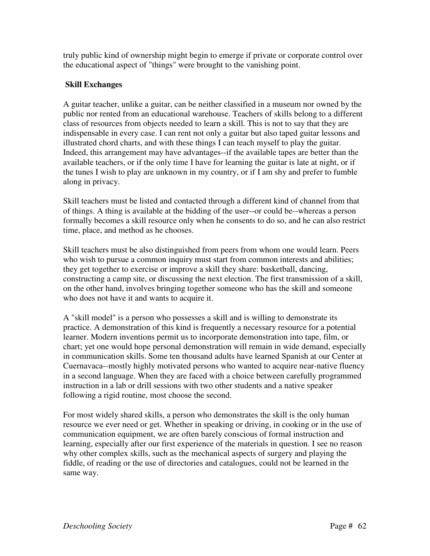truly public kind of ownership might begin to emerge if private or corporate control over the educational aspect of "things" were brought to the vanishing point.

## **Skill Exchanges**

A guitar teacher, unlike a guitar, can be neither classified in a museum nor owned by the public nor rented from an educational warehouse. Teachers of skills belong to a different class of resources from objects needed to learn a skill. This is not to say that they are indispensable in every case. I can rent not only a guitar but also taped guitar lessons and illustrated chord charts, and with these things I can teach myself to play the guitar. Indeed, this arrangement may have advantages--if the available tapes are better than the available teachers, or if the only time I have for learning the guitar is late at night, or if the tunes I wish to play are unknown in my country, or if I am shy and prefer to fumble along in privacy.

Skill teachers must be listed and contacted through a different kind of channel from that of things. A thing is available at the bidding of the user--or could be--whereas a person formally becomes a skill resource only when he consents to do so, and he can also restrict time, place, and method as he chooses.

Skill teachers must be also distinguished from peers from whom one would learn. Peers who wish to pursue a common inquiry must start from common interests and abilities; they get together to exercise or improve a skill they share: basketball, dancing, constructing a camp site, or discussing the next election. The first transmission of a skill, on the other hand, involves bringing together someone who has the skill and someone who does not have it and wants to acquire it.

A "skill model" is a person who possesses a skill and is willing to demonstrate its practice. A demonstration of this kind is frequently a necessary resource for a potential learner. Modern inventions permit us to incorporate demonstration into tape, film, or chart; yet one would hope personal demonstration will remain in wide demand, especially in communication skills. Some ten thousand adults have learned Spanish at our Center at Cuernavaca--mostly highly motivated persons who wanted to acquire near-native fluency in a second language. When they are faced with a choice between carefully programmed instruction in a lab or drill sessions with two other students and a native speaker following a rigid routine, most choose the second.

For most widely shared skills, a person who demonstrates the skill is the only human resource we ever need or get. Whether in speaking or driving, in cooking or in the use of communication equipment, we are often barely conscious of formal instruction and learning, especially after our first experience of the materials in question. I see no reason why other complex skills, such as the mechanical aspects of surgery and playing the fiddle, of reading or the use of directories and catalogues, could not be learned in the same way.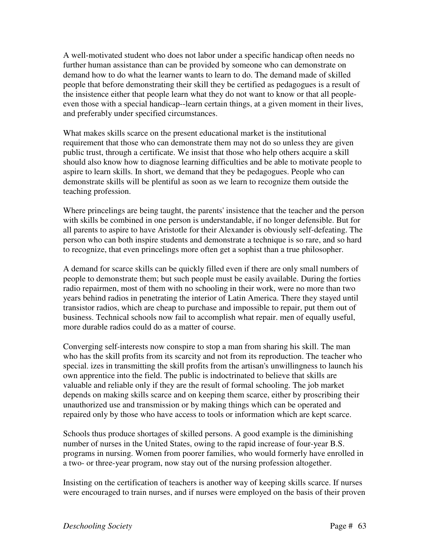A well-motivated student who does not labor under a specific handicap often needs no further human assistance than can be provided by someone who can demonstrate on demand how to do what the learner wants to learn to do. The demand made of skilled people that before demonstrating their skill they be certified as pedagogues is a result of the insistence either that people learn what they do not want to know or that all peopleeven those with a special handicap--learn certain things, at a given moment in their lives, and preferably under specified circumstances.

What makes skills scarce on the present educational market is the institutional requirement that those who can demonstrate them may not do so unless they are given public trust, through a certificate. We insist that those who help others acquire a skill should also know how to diagnose learning difficulties and be able to motivate people to aspire to learn skills. In short, we demand that they be pedagogues. People who can demonstrate skills will be plentiful as soon as we learn to recognize them outside the teaching profession.

Where princelings are being taught, the parents' insistence that the teacher and the person with skills be combined in one person is understandable, if no longer defensible. But for all parents to aspire to have Aristotle for their Alexander is obviously self-defeating. The person who can both inspire students and demonstrate a technique is so rare, and so hard to recognize, that even princelings more often get a sophist than a true philosopher.

A demand for scarce skills can be quickly filled even if there are only small numbers of people to demonstrate them; but such people must be easily available. During the forties radio repairmen, most of them with no schooling in their work, were no more than two years behind radios in penetrating the interior of Latin America. There they stayed until transistor radios, which are cheap to purchase and impossible to repair, put them out of business. Technical schools now fail to accomplish what repair. men of equally useful, more durable radios could do as a matter of course.

Converging self-interests now conspire to stop a man from sharing his skill. The man who has the skill profits from its scarcity and not from its reproduction. The teacher who special. izes in transmitting the skill profits from the artisan's unwillingness to launch his own apprentice into the field. The public is indoctrinated to believe that skills are valuable and reliable only if they are the result of formal schooling. The job market depends on making skills scarce and on keeping them scarce, either by proscribing their unauthorized use and transmission or by making things which can be operated and repaired only by those who have access to tools or information which are kept scarce.

Schools thus produce shortages of skilled persons. A good example is the diminishing number of nurses in the United States, owing to the rapid increase of four-year B.S. programs in nursing. Women from poorer families, who would formerly have enrolled in a two- or three-year program, now stay out of the nursing profession altogether.

Insisting on the certification of teachers is another way of keeping skills scarce. If nurses were encouraged to train nurses, and if nurses were employed on the basis of their proven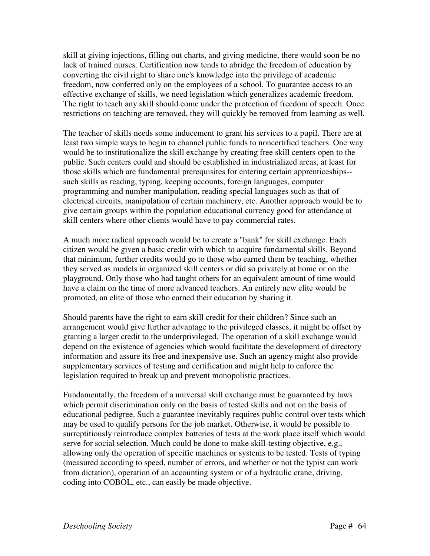skill at giving injections, filling out charts, and giving medicine, there would soon be no lack of trained nurses. Certification now tends to abridge the freedom of education by converting the civil right to share one's knowledge into the privilege of academic freedom, now conferred only on the employees of a school. To guarantee access to an effective exchange of skills, we need legislation which generalizes academic freedom. The right to teach any skill should come under the protection of freedom of speech. Once restrictions on teaching are removed, they will quickly be removed from learning as well.

The teacher of skills needs some inducement to grant his services to a pupil. There are at least two simple ways to begin to channel public funds to noncertified teachers. One way would be to institutionalize the skill exchange by creating free skill centers open to the public. Such centers could and should be established in industrialized areas, at least for those skills which are fundamental prerequisites for entering certain apprenticeships- such skills as reading, typing, keeping accounts, foreign languages, computer programming and number manipulation, reading special languages such as that of electrical circuits, manipulation of certain machinery, etc. Another approach would be to give certain groups within the population educational currency good for attendance at skill centers where other clients would have to pay commercial rates.

A much more radical approach would be to create a "bank" for skill exchange. Each citizen would be given a basic credit with which to acquire fundamental skills. Beyond that minimum, further credits would go to those who earned them by teaching, whether they served as models in organized skill centers or did so privately at home or on the playground. Only those who had taught others for an equivalent amount of time would have a claim on the time of more advanced teachers. An entirely new elite would be promoted, an elite of those who earned their education by sharing it.

Should parents have the right to earn skill credit for their children? Since such an arrangement would give further advantage to the privileged classes, it might be offset by granting a larger credit to the underprivileged. The operation of a skill exchange would depend on the existence of agencies which would facilitate the development of directory information and assure its free and inexpensive use. Such an agency might also provide supplementary services of testing and certification and might help to enforce the legislation required to break up and prevent monopolistic practices.

Fundamentally, the freedom of a universal skill exchange must be guaranteed by laws which permit discrimination only on the basis of tested skills and not on the basis of educational pedigree. Such a guarantee inevitably requires public control over tests which may be used to qualify persons for the job market. Otherwise, it would be possible to surreptitiously reintroduce complex batteries of tests at the work place itself which would serve for social selection. Much could be done to make skill-testing objective, e.g., allowing only the operation of specific machines or systems to be tested. Tests of typing (measured according to speed, number of errors, and whether or not the typist can work from dictation), operation of an accounting system or of a hydraulic crane, driving, coding into COBOL, etc., can easily be made objective.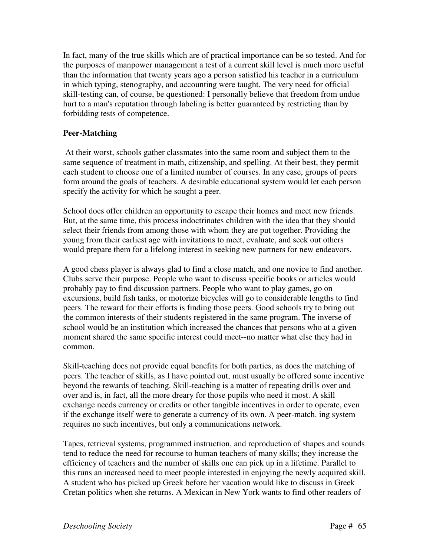In fact, many of the true skills which are of practical importance can be so tested. And for the purposes of manpower management a test of a current skill level is much more useful than the information that twenty years ago a person satisfied his teacher in a curriculum in which typing, stenography, and accounting were taught. The very need for official skill-testing can, of course, be questioned: I personally believe that freedom from undue hurt to a man's reputation through labeling is better guaranteed by restricting than by forbidding tests of competence.

# **Peer-Matching**

 At their worst, schools gather classmates into the same room and subject them to the same sequence of treatment in math, citizenship, and spelling. At their best, they permit each student to choose one of a limited number of courses. In any case, groups of peers form around the goals of teachers. A desirable educational system would let each person specify the activity for which he sought a peer.

School does offer children an opportunity to escape their homes and meet new friends. But, at the same time, this process indoctrinates children with the idea that they should select their friends from among those with whom they are put together. Providing the young from their earliest age with invitations to meet, evaluate, and seek out others would prepare them for a lifelong interest in seeking new partners for new endeavors.

A good chess player is always glad to find a close match, and one novice to find another. Clubs serve their purpose. People who want to discuss specific books or articles would probably pay to find discussion partners. People who want to play games, go on excursions, build fish tanks, or motorize bicycles will go to considerable lengths to find peers. The reward for their efforts is finding those peers. Good schools try to bring out the common interests of their students registered in the same program. The inverse of school would be an institution which increased the chances that persons who at a given moment shared the same specific interest could meet--no matter what else they had in common.

Skill-teaching does not provide equal benefits for both parties, as does the matching of peers. The teacher of skills, as I have pointed out, must usually be offered some incentive beyond the rewards of teaching. Skill-teaching is a matter of repeating drills over and over and is, in fact, all the more dreary for those pupils who need it most. A skill exchange needs currency or credits or other tangible incentives in order to operate, even if the exchange itself were to generate a currency of its own. A peer-match. ing system requires no such incentives, but only a communications network.

Tapes, retrieval systems, programmed instruction, and reproduction of shapes and sounds tend to reduce the need for recourse to human teachers of many skills; they increase the efficiency of teachers and the number of skills one can pick up in a lifetime. Parallel to this runs an increased need to meet people interested in enjoying the newly acquired skill. A student who has picked up Greek before her vacation would like to discuss in Greek Cretan politics when she returns. A Mexican in New York wants to find other readers of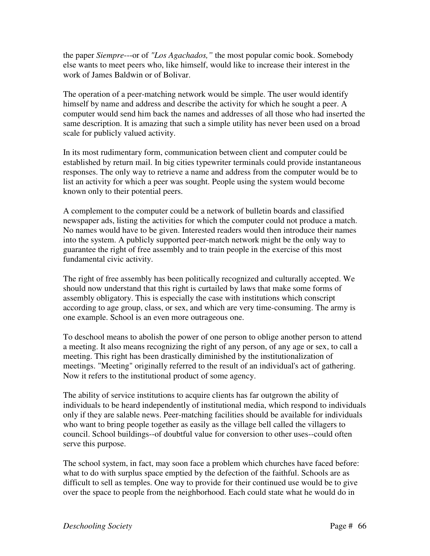the paper *Siempre*---or of *"Los Agachados,"* the most popular comic book. Somebody else wants to meet peers who, like himself, would like to increase their interest in the work of James Baldwin or of Bolivar.

The operation of a peer-matching network would be simple. The user would identify himself by name and address and describe the activity for which he sought a peer. A computer would send him back the names and addresses of all those who had inserted the same description. It is amazing that such a simple utility has never been used on a broad scale for publicly valued activity.

In its most rudimentary form, communication between client and computer could be established by return mail. In big cities typewriter terminals could provide instantaneous responses. The only way to retrieve a name and address from the computer would be to list an activity for which a peer was sought. People using the system would become known only to their potential peers.

A complement to the computer could be a network of bulletin boards and classified newspaper ads, listing the activities for which the computer could not produce a match. No names would have to be given. Interested readers would then introduce their names into the system. A publicly supported peer-match network might be the only way to guarantee the right of free assembly and to train people in the exercise of this most fundamental civic activity.

The right of free assembly has been politically recognized and culturally accepted. We should now understand that this right is curtailed by laws that make some forms of assembly obligatory. This is especially the case with institutions which conscript according to age group, class, or sex, and which are very time-consuming. The army is one example. School is an even more outrageous one.

To deschool means to abolish the power of one person to oblige another person to attend a meeting. It also means recognizing the right of any person, of any age or sex, to call a meeting. This right has been drastically diminished by the institutionalization of meetings. "Meeting" originally referred to the result of an individual's act of gathering. Now it refers to the institutional product of some agency.

The ability of service institutions to acquire clients has far outgrown the ability of individuals to be heard independently of institutional media, which respond to individuals only if they are salable news. Peer-matching facilities should be available for individuals who want to bring people together as easily as the village bell called the villagers to council. School buildings--of doubtful value for conversion to other uses--could often serve this purpose.

The school system, in fact, may soon face a problem which churches have faced before: what to do with surplus space emptied by the defection of the faithful. Schools are as difficult to sell as temples. One way to provide for their continued use would be to give over the space to people from the neighborhood. Each could state what he would do in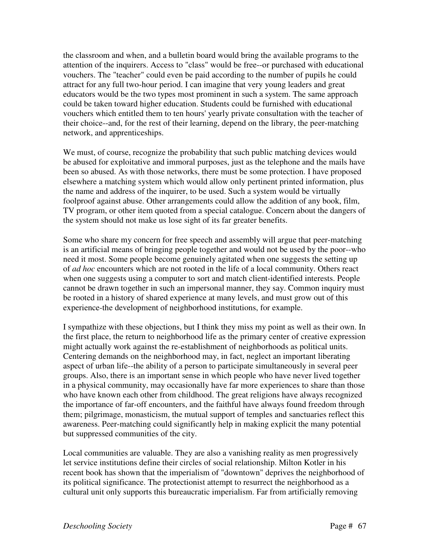the classroom and when, and a bulletin board would bring the available programs to the attention of the inquirers. Access to "class" would be free--or purchased with educational vouchers. The "teacher" could even be paid according to the number of pupils he could attract for any full two-hour period. I can imagine that very young leaders and great educators would be the two types most prominent in such a system. The same approach could be taken toward higher education. Students could be furnished with educational vouchers which entitled them to ten hours' yearly private consultation with the teacher of their choice--and, for the rest of their learning, depend on the library, the peer-matching network, and apprenticeships.

We must, of course, recognize the probability that such public matching devices would be abused for exploitative and immoral purposes, just as the telephone and the mails have been so abused. As with those networks, there must be some protection. I have proposed elsewhere a matching system which would allow only pertinent printed information, plus the name and address of the inquirer, to be used. Such a system would be virtually foolproof against abuse. Other arrangements could allow the addition of any book, film, TV program, or other item quoted from a special catalogue. Concern about the dangers of the system should not make us lose sight of its far greater benefits.

Some who share my concern for free speech and assembly will argue that peer-matching is an artificial means of bringing people together and would not be used by the poor--who need it most. Some people become genuinely agitated when one suggests the setting up of *ad hoc* encounters which are not rooted in the life of a local community. Others react when one suggests using a computer to sort and match client-identified interests. People cannot be drawn together in such an impersonal manner, they say. Common inquiry must be rooted in a history of shared experience at many levels, and must grow out of this experience-the development of neighborhood institutions, for example.

I sympathize with these objections, but I think they miss my point as well as their own. In the first place, the return to neighborhood life as the primary center of creative expression might actually work against the re-establishment of neighborhoods as political units. Centering demands on the neighborhood may, in fact, neglect an important liberating aspect of urban life--the ability of a person to participate simultaneously in several peer groups. Also, there is an important sense in which people who have never lived together in a physical community, may occasionally have far more experiences to share than those who have known each other from childhood. The great religions have always recognized the importance of far-off encounters, and the faithful have always found freedom through them; pilgrimage, monasticism, the mutual support of temples and sanctuaries reflect this awareness. Peer-matching could significantly help in making explicit the many potential but suppressed communities of the city.

Local communities are valuable. They are also a vanishing reality as men progressively let service institutions define their circles of social relationship. Milton Kotler in his recent book has shown that the imperialism of "downtown" deprives the neighborhood of its political significance. The protectionist attempt to resurrect the neighborhood as a cultural unit only supports this bureaucratic imperialism. Far from artificially removing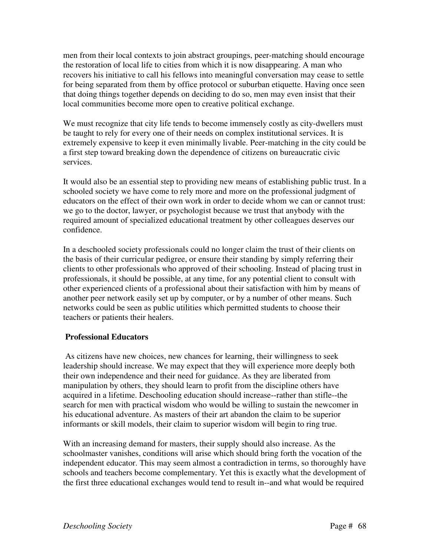men from their local contexts to join abstract groupings, peer-matching should encourage the restoration of local life to cities from which it is now disappearing. A man who recovers his initiative to call his fellows into meaningful conversation may cease to settle for being separated from them by office protocol or suburban etiquette. Having once seen that doing things together depends on deciding to do so, men may even insist that their local communities become more open to creative political exchange.

We must recognize that city life tends to become immensely costly as city-dwellers must be taught to rely for every one of their needs on complex institutional services. It is extremely expensive to keep it even minimally livable. Peer-matching in the city could be a first step toward breaking down the dependence of citizens on bureaucratic civic services.

It would also be an essential step to providing new means of establishing public trust. In a schooled society we have come to rely more and more on the professional judgment of educators on the effect of their own work in order to decide whom we can or cannot trust: we go to the doctor, lawyer, or psychologist because we trust that anybody with the required amount of specialized educational treatment by other colleagues deserves our confidence.

In a deschooled society professionals could no longer claim the trust of their clients on the basis of their curricular pedigree, or ensure their standing by simply referring their clients to other professionals who approved of their schooling. Instead of placing trust in professionals, it should be possible, at any time, for any potential client to consult with other experienced clients of a professional about their satisfaction with him by means of another peer network easily set up by computer, or by a number of other means. Such networks could be seen as public utilities which permitted students to choose their teachers or patients their healers.

## **Professional Educators**

 As citizens have new choices, new chances for learning, their willingness to seek leadership should increase. We may expect that they will experience more deeply both their own independence and their need for guidance. As they are liberated from manipulation by others, they should learn to profit from the discipline others have acquired in a lifetime. Deschooling education should increase--rather than stifle--the search for men with practical wisdom who would be willing to sustain the newcomer in his educational adventure. As masters of their art abandon the claim to be superior informants or skill models, their claim to superior wisdom will begin to ring true.

With an increasing demand for masters, their supply should also increase. As the schoolmaster vanishes, conditions will arise which should bring forth the vocation of the independent educator. This may seem almost a contradiction in terms, so thoroughly have schools and teachers become complementary. Yet this is exactly what the development of the first three educational exchanges would tend to result in--and what would be required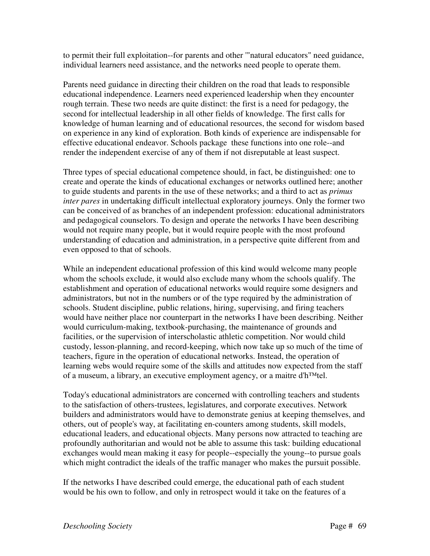to permit their full exploitation--for parents and other '"natural educators" need guidance, individual learners need assistance, and the networks need people to operate them.

Parents need guidance in directing their children on the road that leads to responsible educational independence. Learners need experienced leadership when they encounter rough terrain. These two needs are quite distinct: the first is a need for pedagogy, the second for intellectual leadership in all other fields of knowledge. The first calls for knowledge of human learning and of educational resources, the second for wisdom based on experience in any kind of exploration. Both kinds of experience are indispensable for effective educational endeavor. Schools package these functions into one role--and render the independent exercise of any of them if not disreputable at least suspect.

Three types of special educational competence should, in fact, be distinguished: one to create and operate the kinds of educational exchanges or networks outlined here; another to guide students and parents in the use of these networks; and a third to act as *primus inter pares* in undertaking difficult intellectual exploratory journeys. Only the former two can be conceived of as branches of an independent profession: educational administrators and pedagogical counselors. To design and operate the networks I have been describing would not require many people, but it would require people with the most profound understanding of education and administration, in a perspective quite different from and even opposed to that of schools.

While an independent educational profession of this kind would welcome many people whom the schools exclude, it would also exclude many whom the schools qualify. The establishment and operation of educational networks would require some designers and administrators, but not in the numbers or of the type required by the administration of schools. Student discipline, public relations, hiring, supervising, and firing teachers would have neither place nor counterpart in the networks I have been describing. Neither would curriculum-making, textbook-purchasing, the maintenance of grounds and facilities, or the supervision of interscholastic athletic competition. Nor would child custody, lesson-planning, and record-keeping, which now take up so much of the time of teachers, figure in the operation of educational networks. Instead, the operation of learning webs would require some of the skills and attitudes now expected from the staff of a museum, a library, an executive employment agency, or a maitre d'h<sup>™tel.</sup>

Today's educational administrators are concerned with controlling teachers and students to the satisfaction of others-trustees, legislatures, and corporate executives. Network builders and administrators would have to demonstrate genius at keeping themselves, and others, out of people's way, at facilitating en-counters among students, skill models, educational leaders, and educational objects. Many persons now attracted to teaching are profoundly authoritarian and would not be able to assume this task: building educational exchanges would mean making it easy for people--especially the young--to pursue goals which might contradict the ideals of the traffic manager who makes the pursuit possible.

If the networks I have described could emerge, the educational path of each student would be his own to follow, and only in retrospect would it take on the features of a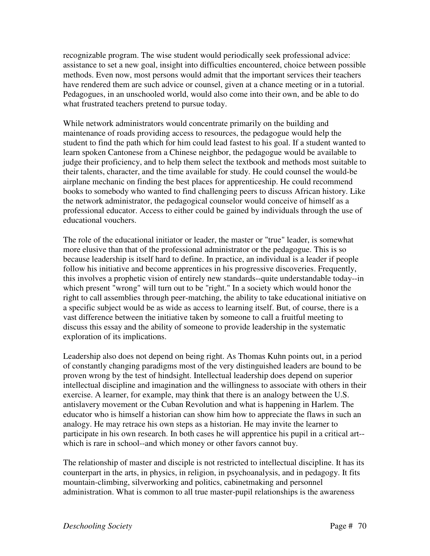recognizable program. The wise student would periodically seek professional advice: assistance to set a new goal, insight into difficulties encountered, choice between possible methods. Even now, most persons would admit that the important services their teachers have rendered them are such advice or counsel, given at a chance meeting or in a tutorial. Pedagogues, in an unschooled world, would also come into their own, and be able to do what frustrated teachers pretend to pursue today.

While network administrators would concentrate primarily on the building and maintenance of roads providing access to resources, the pedagogue would help the student to find the path which for him could lead fastest to his goal. If a student wanted to learn spoken Cantonese from a Chinese neighbor, the pedagogue would be available to judge their proficiency, and to help them select the textbook and methods most suitable to their talents, character, and the time available for study. He could counsel the would-be airplane mechanic on finding the best places for apprenticeship. He could recommend books to somebody who wanted to find challenging peers to discuss African history. Like the network administrator, the pedagogical counselor would conceive of himself as a professional educator. Access to either could be gained by individuals through the use of educational vouchers.

The role of the educational initiator or leader, the master or "true" leader, is somewhat more elusive than that of the professional administrator or the pedagogue. This is so because leadership is itself hard to define. In practice, an individual is a leader if people follow his initiative and become apprentices in his progressive discoveries. Frequently, this involves a prophetic vision of entirely new standards--quite understandable today--in which present "wrong" will turn out to be "right." In a society which would honor the right to call assemblies through peer-matching, the ability to take educational initiative on a specific subject would be as wide as access to learning itself. But, of course, there is a vast difference between the initiative taken by someone to call a fruitful meeting to discuss this essay and the ability of someone to provide leadership in the systematic exploration of its implications.

Leadership also does not depend on being right. As Thomas Kuhn points out, in a period of constantly changing paradigms most of the very distinguished leaders are bound to be proven wrong by the test of hindsight. Intellectual leadership does depend on superior intellectual discipline and imagination and the willingness to associate with others in their exercise. A learner, for example, may think that there is an analogy between the U.S. antislavery movement or the Cuban Revolution and what is happening in Harlem. The educator who is himself a historian can show him how to appreciate the flaws in such an analogy. He may retrace his own steps as a historian. He may invite the learner to participate in his own research. In both cases he will apprentice his pupil in a critical art- which is rare in school--and which money or other favors cannot buy.

The relationship of master and disciple is not restricted to intellectual discipline. It has its counterpart in the arts, in physics, in religion, in psychoanalysis, and in pedagogy. It fits mountain-climbing, silverworking and politics, cabinetmaking and personnel administration. What is common to all true master-pupil relationships is the awareness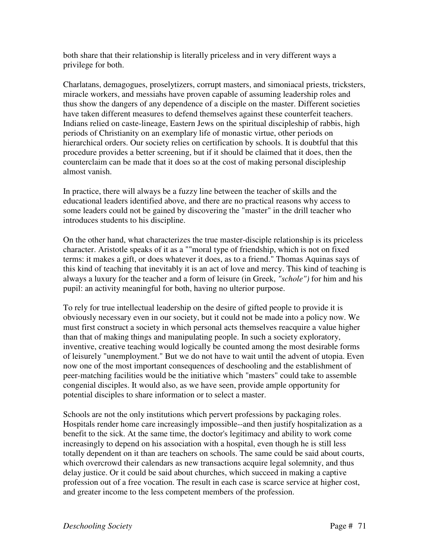both share that their relationship is literally priceless and in very different ways a privilege for both.

Charlatans, demagogues, proselytizers, corrupt masters, and simoniacal priests, tricksters, miracle workers, and messiahs have proven capable of assuming leadership roles and thus show the dangers of any dependence of a disciple on the master. Different societies have taken different measures to defend themselves against these counterfeit teachers. Indians relied on caste-lineage, Eastern Jews on the spiritual discipleship of rabbis, high periods of Christianity on an exemplary life of monastic virtue, other periods on hierarchical orders. Our society relies on certification by schools. It is doubtful that this procedure provides a better screening, but if it should be claimed that it does, then the counterclaim can be made that it does so at the cost of making personal discipleship almost vanish.

In practice, there will always be a fuzzy line between the teacher of skills and the educational leaders identified above, and there are no practical reasons why access to some leaders could not be gained by discovering the "master" in the drill teacher who introduces students to his discipline.

On the other hand, what characterizes the true master-disciple relationship is its priceless character. Aristotle speaks of it as a ""moral type of friendship, which is not on fixed terms: it makes a gift, or does whatever it does, as to a friend." Thomas Aquinas says of this kind of teaching that inevitably it is an act of love and mercy. This kind of teaching is always a luxury for the teacher and a form of leisure (in Greek, *"schole")* for him and his pupil: an activity meaningful for both, having no ulterior purpose.

To rely for true intellectual leadership on the desire of gifted people to provide it is obviously necessary even in our society, but it could not be made into a policy now. We must first construct a society in which personal acts themselves reacquire a value higher than that of making things and manipulating people. In such a society exploratory, inventive, creative teaching would logically be counted among the most desirable forms of leisurely "unemployment." But we do not have to wait until the advent of utopia. Even now one of the most important consequences of deschooling and the establishment of peer-matching facilities would be the initiative which "masters" could take to assemble congenial disciples. It would also, as we have seen, provide ample opportunity for potential disciples to share information or to select a master.

Schools are not the only institutions which pervert professions by packaging roles. Hospitals render home care increasingly impossible--and then justify hospitalization as a benefit to the sick. At the same time, the doctor's legitimacy and ability to work come increasingly to depend on his association with a hospital, even though he is still less totally dependent on it than are teachers on schools. The same could be said about courts, which overcrowd their calendars as new transactions acquire legal solemnity, and thus delay justice. Or it could be said about churches, which succeed in making a captive profession out of a free vocation. The result in each case is scarce service at higher cost, and greater income to the less competent members of the profession.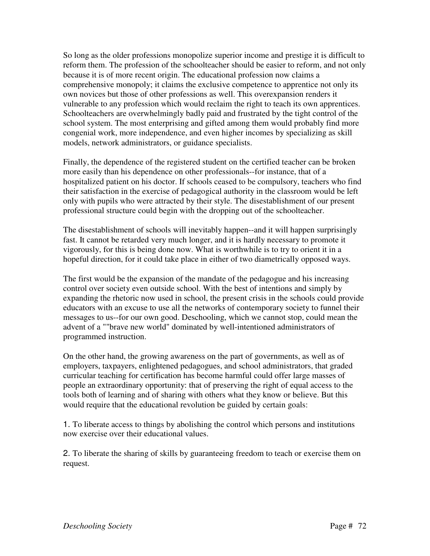So long as the older professions monopolize superior income and prestige it is difficult to reform them. The profession of the schoolteacher should be easier to reform, and not only because it is of more recent origin. The educational profession now claims a comprehensive monopoly; it claims the exclusive competence to apprentice not only its own novices but those of other professions as well. This overexpansion renders it vulnerable to any profession which would reclaim the right to teach its own apprentices. Schoolteachers are overwhelmingly badly paid and frustrated by the tight control of the school system. The most enterprising and gifted among them would probably find more congenial work, more independence, and even higher incomes by specializing as skill models, network administrators, or guidance specialists.

Finally, the dependence of the registered student on the certified teacher can be broken more easily than his dependence on other professionals--for instance, that of a hospitalized patient on his doctor. If schools ceased to be compulsory, teachers who find their satisfaction in the exercise of pedagogical authority in the classroom would be left only with pupils who were attracted by their style. The disestablishment of our present professional structure could begin with the dropping out of the schoolteacher.

The disestablishment of schools will inevitably happen--and it will happen surprisingly fast. It cannot be retarded very much longer, and it is hardly necessary to promote it vigorously, for this is being done now. What is worthwhile is to try to orient it in a hopeful direction, for it could take place in either of two diametrically opposed ways.

The first would be the expansion of the mandate of the pedagogue and his increasing control over society even outside school. With the best of intentions and simply by expanding the rhetoric now used in school, the present crisis in the schools could provide educators with an excuse to use all the networks of contemporary society to funnel their messages to us--for our own good. Deschooling, which we cannot stop, could mean the advent of a ""brave new world" dominated by well-intentioned administrators of programmed instruction.

On the other hand, the growing awareness on the part of governments, as well as of employers, taxpayers, enlightened pedagogues, and school administrators, that graded curricular teaching for certification has become harmful could offer large masses of people an extraordinary opportunity: that of preserving the right of equal access to the tools both of learning and of sharing with others what they know or believe. But this would require that the educational revolution be guided by certain goals:

1. To liberate access to things by abolishing the control which persons and institutions now exercise over their educational values.

2. To liberate the sharing of skills by guaranteeing freedom to teach or exercise them on request.